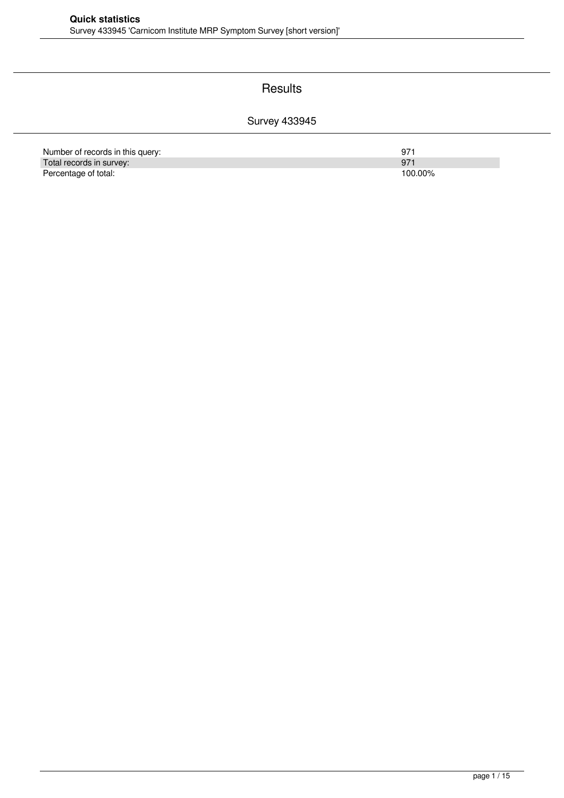#### **Results**

### Survey 433945

| Number of records in this query: | 97      |
|----------------------------------|---------|
| Total records in survey:         | 97'     |
| Percentage of total:             | 100.00% |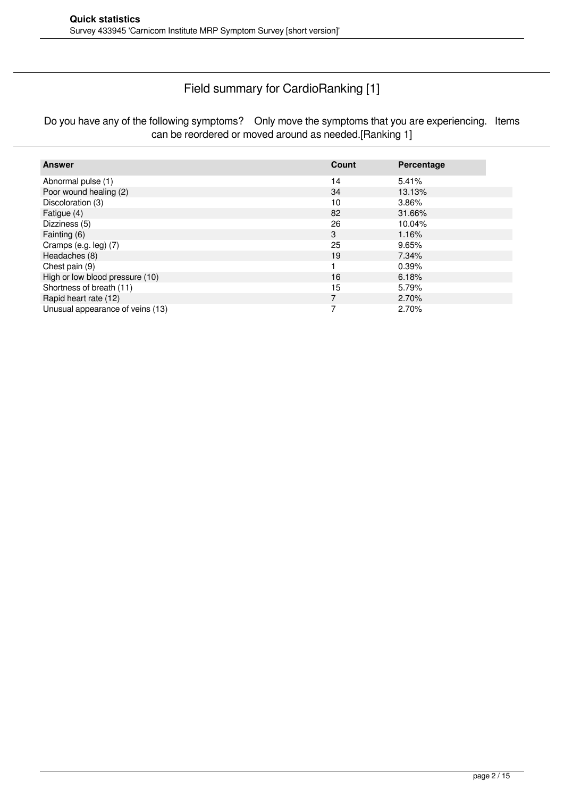### Field summary for CardioRanking [1]

Do you have any of the following symptoms? Only move the symptoms that you are experiencing. Items can be reordered or moved around as needed.[Ranking 1]

| <b>Answer</b>                    | Count          | Percentage |
|----------------------------------|----------------|------------|
| Abnormal pulse (1)               | 14             | 5.41%      |
| Poor wound healing (2)           | 34             | 13.13%     |
| Discoloration (3)                | 10             | 3.86%      |
| Fatigue (4)                      | 82             | 31.66%     |
| Dizziness (5)                    | 26             | 10.04%     |
| Fainting (6)                     | 3              | 1.16%      |
| Cramps (e.g. leg) (7)            | 25             | 9.65%      |
| Headaches (8)                    | 19             | 7.34%      |
| Chest pain (9)                   |                | 0.39%      |
| High or low blood pressure (10)  | 16             | 6.18%      |
| Shortness of breath (11)         | 15             | 5.79%      |
| Rapid heart rate (12)            | $\overline{7}$ | 2.70%      |
| Unusual appearance of veins (13) |                | 2.70%      |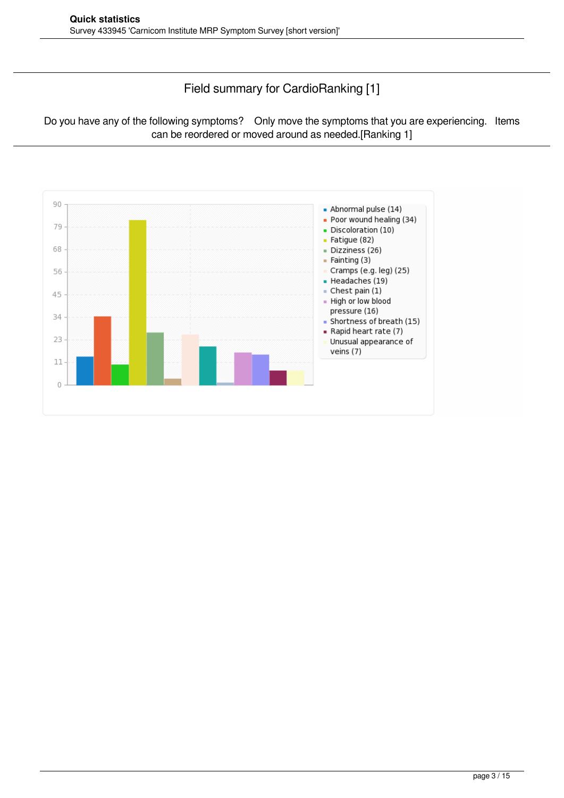### Field summary for CardioRanking [1]

Do you have any of the following symptoms? Only move the symptoms that you are experiencing. Items can be reordered or moved around as needed.[Ranking 1]

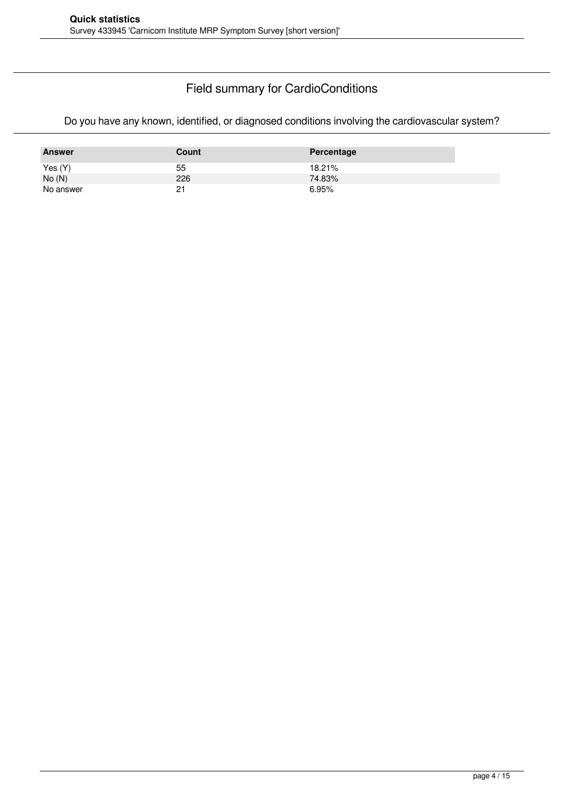### Field summary for CardioConditions

Do you have any known, identified, or diagnosed conditions involving the cardiovascular system?

| <b>Answer</b> | Count | Percentage |
|---------------|-------|------------|
| Yes(Y)        | 55    | 18.21%     |
| No(N)         | 226   | 74.83%     |
| No answer     | 21    | 6.95%      |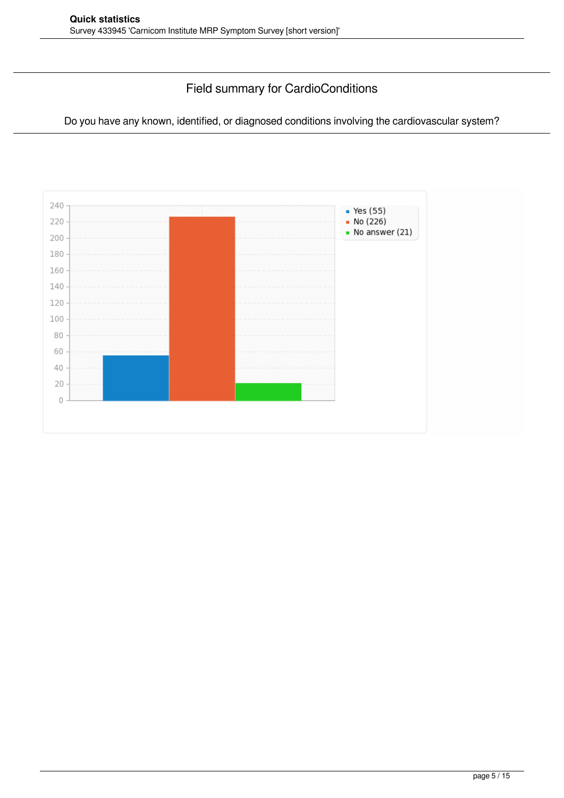### Field summary for CardioConditions

Do you have any known, identified, or diagnosed conditions involving the cardiovascular system?

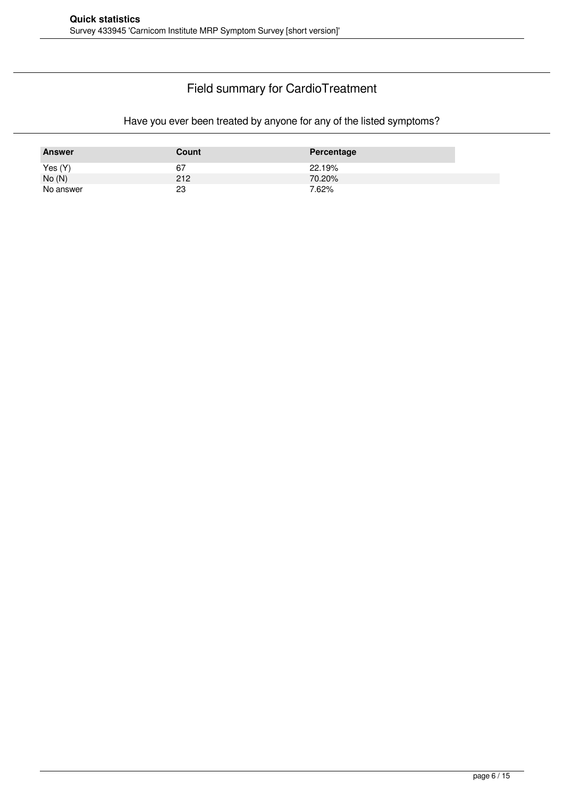### Field summary for CardioTreatment

#### Have you ever been treated by anyone for any of the listed symptoms?

| <b>Answer</b> | Count | Percentage |
|---------------|-------|------------|
| Yes (Y)       | 67    | 22.19%     |
| No(N)         | 212   | 70.20%     |
| No answer     | 23    | 7.62%      |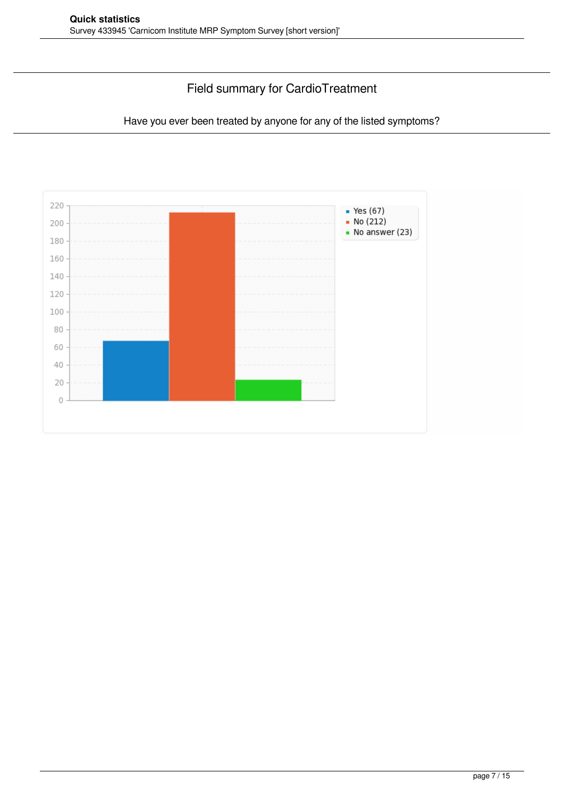### Field summary for CardioTreatment

Have you ever been treated by anyone for any of the listed symptoms?

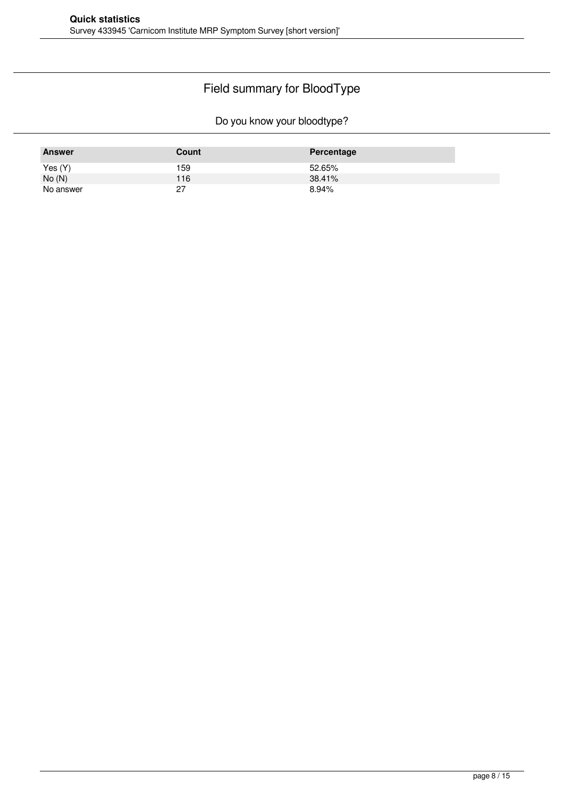# Field summary for BloodType

Do you know your bloodtype?

| <b>Answer</b> | Count         | Percentage |
|---------------|---------------|------------|
| Yes (Y)       | 159           | 52.65%     |
| No(N)         | 116           | 38.41%     |
| No answer     | $\sim$<br>ا ے | 8.94%      |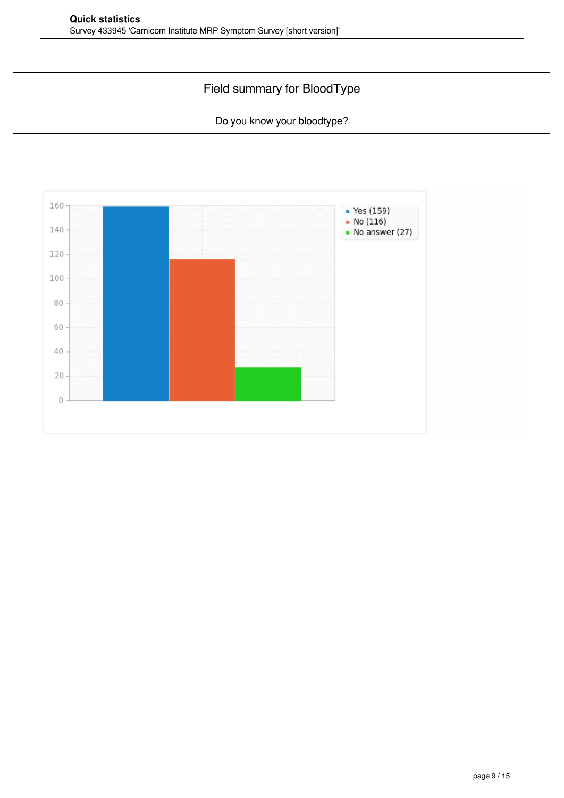## Field summary for BloodType

Do you know your bloodtype?

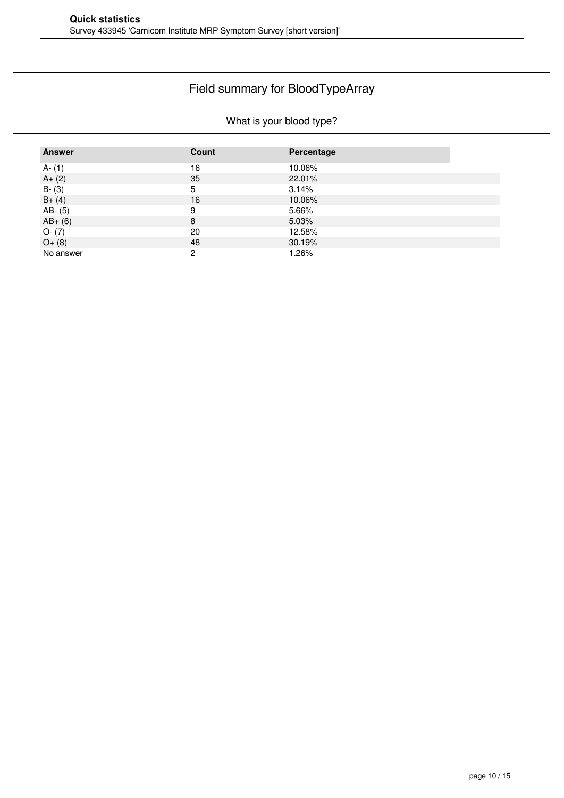## Field summary for BloodTypeArray

### What is your blood type?

| <b>Answer</b> | Count | Percentage |
|---------------|-------|------------|
| $A - (1)$     | 16    | 10.06%     |
| $A + (2)$     | 35    | 22.01%     |
| $B - (3)$     | 5     | 3.14%      |
| $B+ (4)$      | 16    | 10.06%     |
| $AB - (5)$    | 9     | 5.66%      |
| $AB+ (6)$     | 8     | 5.03%      |
| $O-(7)$       | 20    | 12.58%     |
| $O+(8)$       | 48    | 30.19%     |
| No answer     | 2     | 1.26%      |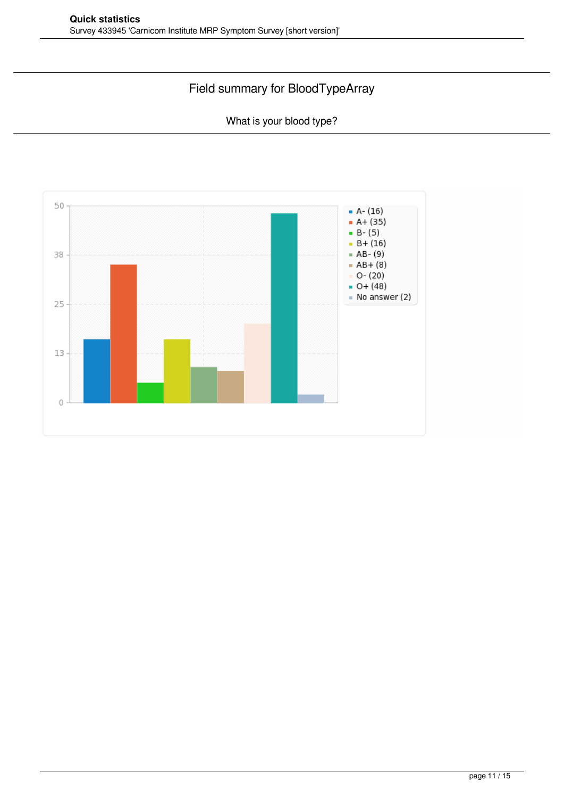## Field summary for BloodTypeArray

What is your blood type?

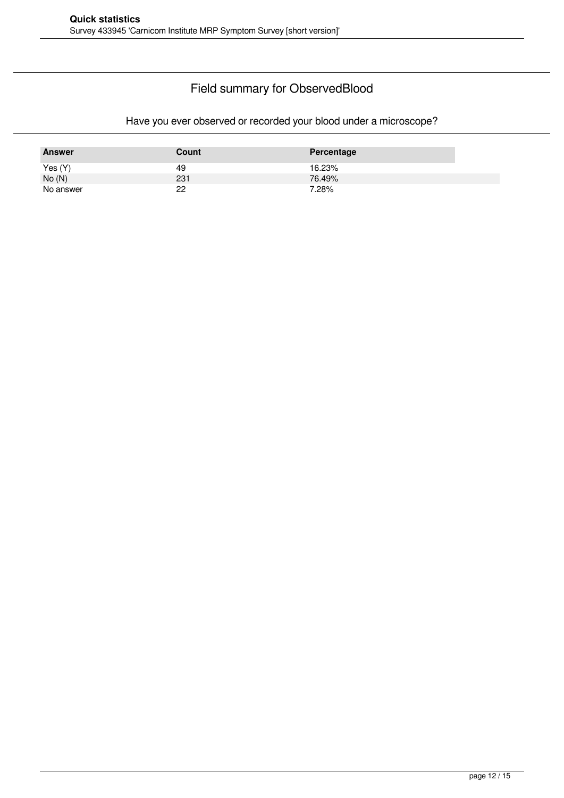### Field summary for ObservedBlood

### Have you ever observed or recorded your blood under a microscope?

| <b>Answer</b> | Count | Percentage |
|---------------|-------|------------|
| Yes(Y)        | 49    | 16.23%     |
| No(N)         | 231   | 76.49%     |
| No answer     | 22    | 7.28%      |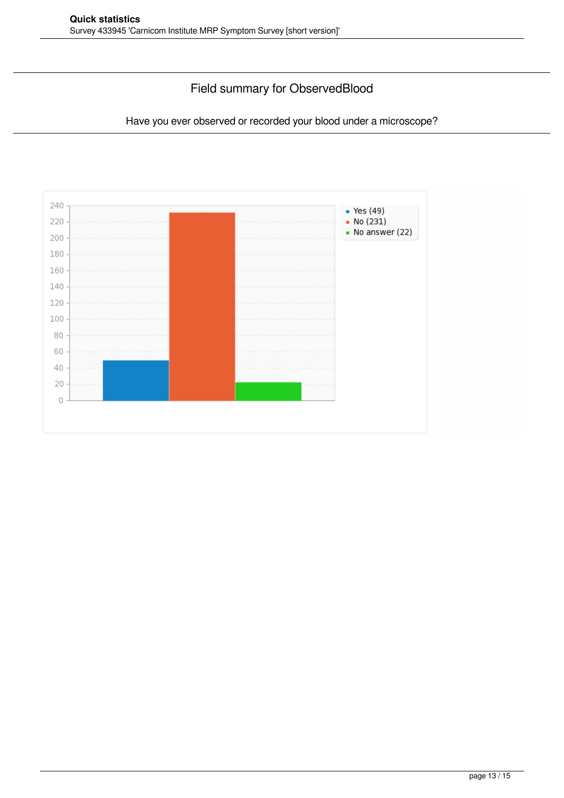### Field summary for ObservedBlood

Have you ever observed or recorded your blood under a microscope?

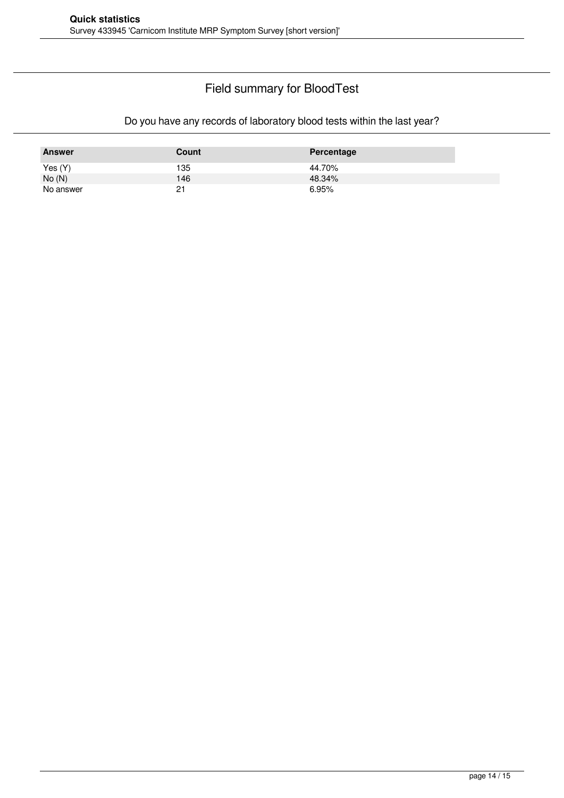### Field summary for BloodTest

### Do you have any records of laboratory blood tests within the last year?

| <b>Answer</b> | Count | Percentage |
|---------------|-------|------------|
| Yes (Y)       | 135   | 44.70%     |
| No(N)         | 146   | 48.34%     |
| No answer     | 21    | 6.95%      |